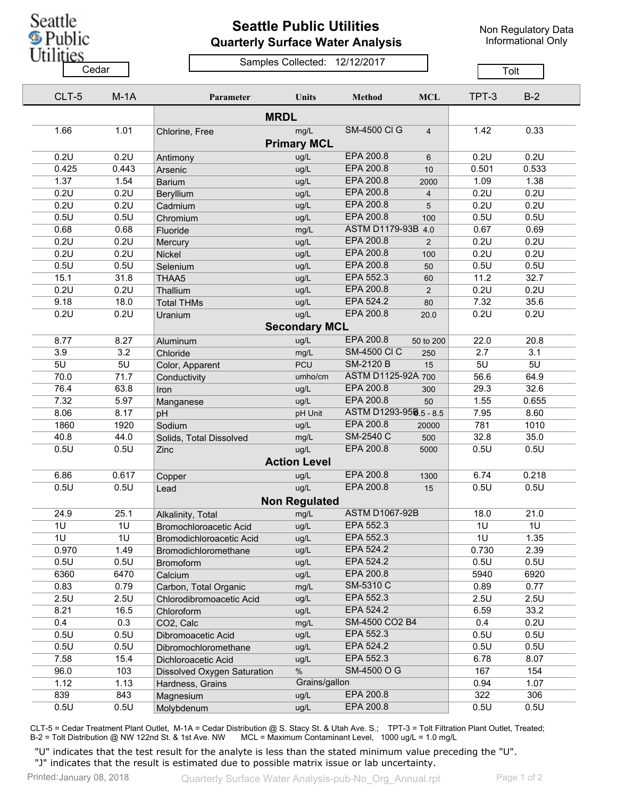

## **Seattle Public Utilities Quarterly Surface Water Analysis**

Non Regulatory Data Informational Only

## Samples Collected: 12/12/2017 Cedar **Cedar** Compression Constitution of Tolt

| CLT-5        | $M-1A$      | Parameter                   | Units                | <b>Method</b>          | <b>MCL</b>     | TPT-3        | $B-2$        |  |
|--------------|-------------|-----------------------------|----------------------|------------------------|----------------|--------------|--------------|--|
|              |             |                             |                      |                        |                |              |              |  |
| 1.66         | 1.01        | Chlorine, Free              | mg/L                 | <b>SM-4500 CI G</b>    | $\overline{4}$ | 1.42         | 0.33         |  |
|              |             |                             | <b>Primary MCL</b>   |                        |                |              |              |  |
| 0.2U         | 0.2U        | Antimony                    | ug/L                 | EPA 200.8              | 6              | 0.2U         | 0.2U         |  |
| 0.425        | 0.443       | Arsenic                     | ug/L                 | EPA 200.8              | 10             | 0.501        | 0.533        |  |
| 1.37         | 1.54        | <b>Barium</b>               | ug/L                 | EPA 200.8              | 2000           | 1.09         | 1.38         |  |
| 0.2U         | 0.2U        | Beryllium                   | ug/L                 | EPA 200.8              | 4              | 0.2U         | 0.2U         |  |
| 0.2U         | 0.2U        | Cadmium                     | ug/L                 | EPA 200.8              | 5              | 0.2U         | 0.2U         |  |
| 0.5U         | 0.5U        | Chromium                    | ug/L                 | EPA 200.8              | 100            | 0.5U         | 0.5U         |  |
| 0.68         | 0.68        | Fluoride                    | mg/L                 | ASTM D1179-93B 4.0     |                | 0.67         | 0.69         |  |
| 0.2U         | 0.2U        | Mercury                     | ug/L                 | EPA 200.8              | 2              | 0.2U         | 0.2U         |  |
| 0.2U         | 0.2U        | Nickel                      | ug/L                 | EPA 200.8              | 100            | 0.2U         | 0.2U         |  |
| 0.5U         | 0.5U        | Selenium                    | ug/L                 | EPA 200.8              | 50             | 0.5U         | 0.5U         |  |
| 15.1         | 31.8        | THAA5                       | ug/L                 | EPA 552.3              | 60             | 11.2         | 32.7         |  |
| 0.2U         | 0.2U        | Thallium                    | ug/L                 | EPA 200.8              | 2              | 0.2U         | 0.2U         |  |
| 9.18         | 18.0        | <b>Total THMs</b>           | ug/L                 | EPA 524.2              | 80             | 7.32         | 35.6         |  |
| 0.2U         | 0.2U        | Uranium                     | ug/L                 | EPA 200.8              | 20.0           | 0.2U         | 0.2U         |  |
|              |             |                             | <b>Secondary MCL</b> |                        |                |              |              |  |
| 8.77         | 8.27        | Aluminum                    | ug/L                 | EPA 200.8              | 50 to 200      | 22.0         | 20.8         |  |
| 3.9          | 3.2         | Chloride                    | mg/L                 | <b>SM-4500 CI C</b>    | 250            | 2.7          | 3.1          |  |
| 5U           | 5U          | Color, Apparent             | <b>PCU</b>           | <b>SM-2120 B</b>       | 15             | 5U           | 5U           |  |
| 70.0         | 71.7        | Conductivity                | umho/cm              | ASTM D1125-92A 700     |                | 56.6         | 64.9         |  |
| 76.4         | 63.8        | Iron                        | ug/L                 | EPA 200.8              | 300            | 29.3         | 32.6         |  |
| 7.32         | 5.97        | Manganese                   | ug/L                 | EPA 200.8              | 50             | 1.55         | 0.655        |  |
| 8.06         | 8.17        | pH                          | pH Unit              | ASTM D1293-958.5 - 8.5 |                | 7.95         | 8.60         |  |
| 1860         | 1920        | Sodium                      | ug/L                 | EPA 200.8              | 20000          | 781          | 1010         |  |
| 40.8         | 44.0        | Solids, Total Dissolved     | mg/L                 | SM-2540 C              | 500            | 32.8         | 35.0         |  |
| 0.5U         | 0.5U        | Zinc                        | ug/L                 | EPA 200.8              | 5000           | 0.5U         | 0.5U         |  |
|              |             |                             | <b>Action Level</b>  |                        |                |              |              |  |
| 6.86         | 0.617       | Copper                      | ug/L                 | EPA 200.8              | 1300           | 6.74         | 0.218        |  |
| 0.5U         | 0.5U        | Lead                        | ug/L                 | EPA 200.8              | 15             | 0.5U         | 0.5U         |  |
|              |             |                             |                      |                        |                |              |              |  |
|              |             |                             | <b>Non Regulated</b> | <b>ASTM D1067-92B</b>  |                | 18.0         |              |  |
| 24.9<br>1U   | 25.1<br>1U  | Alkalinity, Total           | mg/L                 | EPA 552.3              |                | 1U           | 21.0<br>1U   |  |
|              | 1U          | Bromochloroacetic Acid      | ug/L                 | EPA 552.3              |                | 1U           |              |  |
| 1U<br>0.970  | 1.49        | Bromodichloroacetic Acid    | ug/L<br>ug/L         | EPA 524.2              |                | 0.730        | 1.35<br>2.39 |  |
| 0.5U         | 0.5U        | Bromodichloromethane        | ug/L                 | EPA 524.2              |                | 0.5U         | 0.5U         |  |
|              | 6470        | <b>Bromoform</b>            | ug/L                 | EPA 200.8              |                | 5940         | 6920         |  |
| 6360         | 0.79        | Calcium                     | mg/L                 | SM-5310 C              |                | 0.89         | 0.77         |  |
| 0.83         |             | Carbon, Total Organic       |                      | EPA 552.3              |                | 2.5U         |              |  |
| 2.5U         | 2.5U        | Chlorodibromoacetic Acid    | ug/L                 | EPA 524.2              |                | 6.59         | 2.5U         |  |
| 8.21         | 16.5<br>0.3 | Chloroform                  | ug/L                 | SM-4500 CO2 B4         |                | 0.4          | 33.2<br>0.2U |  |
| 0.4          |             | CO2, Calc                   | mg/L                 | EPA 552.3              |                |              |              |  |
| 0.5U         | 0.5U        | Dibromoacetic Acid          | ug/L                 | EPA 524.2              |                | 0.5U<br>0.5U | 0.5U         |  |
| 0.5U         | 0.5U        | Dibromochloromethane        | ug/L                 | EPA 552.3              |                | 6.78         | 0.5U         |  |
| 7.58         | 15.4<br>103 | Dichloroacetic Acid         | ug/L<br>$\%$         | SM-4500 O G            |                | 167          | 8.07<br>154  |  |
| 96.0<br>1.12 | 1.13        | Dissolved Oxygen Saturation | Grains/gallon        |                        |                | 0.94         | 1.07         |  |
| 839          | 843         | Hardness, Grains            | ug/L                 | EPA 200.8              |                | 322          | 306          |  |
| 0.5U         | 0.5U        | Magnesium                   | ug/L                 | EPA 200.8              |                | 0.5U         | 0.5U         |  |
|              |             | Molybdenum                  |                      |                        |                |              |              |  |

CLT-5 = Cedar Treatment Plant Outlet, M-1A = Cedar Distribution @ S. Stacy St. & Utah Ave. S.; TPT-3 = Tolt Filtration Plant Outlet, Treated; B-2 = Tolt Distribution @ NW 122nd St. & 1st Ave. NW MCL = Maximum Contaminant Level, 1000 ug/L = 1.0 mg/L

"U" indicates that the test result for the analyte is less than the stated minimum value preceding the "U". "J" indicates that the result is estimated due to possible matrix issue or lab uncertainty.